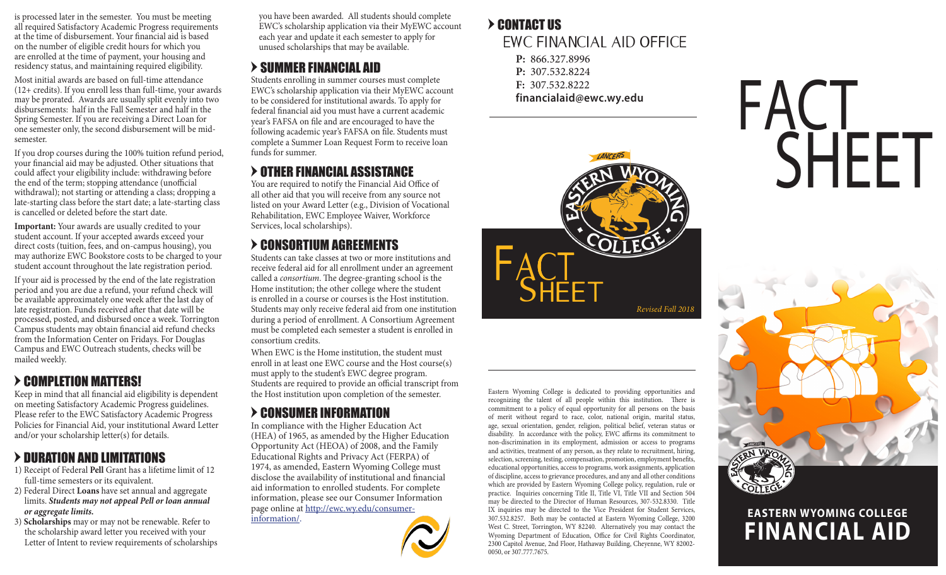all required Satisfactory Academic Progress requirements at the time of disbursement. Your financial aid is based on the number of eligible credit hours for which you are enrolled at the time of payment, your housing and residency status, and maintaining required eligibility.

Most initial awards are based on full-time attendance (12+ credits). If you enroll less than full-time, your awards may be prorated. Awards are usually split evenly into two disbursements: half in the Fall Semester and half in the Spring Semester. If you are receiving a Direct Loan for one semester only, the second disbursement will be midsemester.

If you drop courses during the 100% tuition refund period, your financial aid may be adjusted. Other situations that could affect your eligibility include: withdrawing before the end of the term; stopping attendance (unofficial withdrawal); not starting or attending a class; dropping a late-starting class before the start date; a late-starting class is cancelled or deleted before the start date.

**Important:** Your awards are usually credited to your student account. If your accepted awards exceed your direct costs (tuition, fees, and on-campus housing), you may authorize EWC Bookstore costs to be charged to your student account throughout the late registration period.

If your aid is processed by the end of the late registration period and you are due a refund, your refund check will be available approximately one week after the last day of late registration. Funds received after that date will be processed, posted, and disbursed once a week. Torrington Campus students may obtain financial aid refund checks from the Information Center on Fridays. For Douglas Campus and EWC Outreach students, checks will be mailed weekly.

### > COMPLETION MATTERS!

Keep in mind that all financial aid eligibility is dependent on meeting Satisfactory Academic Progress guidelines. Please refer to the EWC Satisfactory Academic Progress Policies for Financial Aid, your institutional Award Letter and/or your scholarship letter(s) for details.

# > DURATION AND LIMITATIONS

- 1) Receipt of Federal **Pell** Grant has a lifetime limit of 12 full-time semesters or its equivalent.
- 2) Federal Direct **Loans** have set annual and aggregate limits. *Students may not appeal Pell or loan annual or aggregate limits.*

3) **Scholarships** may or may not be renewable. Refer to the scholarship award letter you received with your Letter of Intent to review requirements of scholarships

you have been awarded. All students should complete is processed later in the semester. You must be meeting you have been awarded. All students should complete<br>all required Satisfactory Academic Progress requirements EWC's scholarship application via their MyEWC account **>** each year and update it each semester to apply for unused scholarships that may be available.

# $>$  SUMMER FINANCIAL AID

Students enrolling in summer courses must complete EWC's scholarship application via their MyEWC account to be considered for institutional awards. To apply for federal financial aid you must have a current academic year's FAFSA on file and are encouraged to have the following academic year's FAFSA on file. Students must complete a Summer Loan Request Form to receive loan funds for summer.

# > OTHER FINANCIAL ASSISTANCE

You are required to notify the Financial Aid Office of all other aid that you will receive from any source not listed on your Award Letter (e.g., Division of Vocational Rehabilitation, EWC Employee Waiver, Workforce Services, local scholarships).

# = CONSORTIUM AGREEMENTS

Students can take classes at two or more institutions and receive federal aid for all enrollment under an agreement called a *consortium*. The degree-granting school is the Home institution; the other college where the student is enrolled in a course or courses is the Host institution. Students may only receive federal aid from one institution during a period of enrollment. A Consortium Agreement must be completed each semester a student is enrolled in consortium credits.

When EWC is the Home institution, the student must enroll in at least one EWC course and the Host course(s) must apply to the student's EWC degree program. Students are required to provide an official transcript from the Host institution upon completion of the semester.

# = CONSUMER INFORMATION

In compliance with the Higher Education Act (HEA) of 1965, as amended by the Higher Education Opportunity Act (HEOA) of 2008, and the Family Educational Rights and Privacy Act (FERPA) of 1974, as amended, Eastern Wyoming College must disclose the availability of institutional and financial aid information to enrolled students. For complete information, please see our Consumer Information page online at http://ewc.wy.edu/consumerinformation/.



# EWC FINANCIAL AID OFFICE

- **P:** 866.327.8996 **P:** 307.532.8224
- **F:** 307.532.8222
- **financialaid@ewc.wy.edu**



Eastern Wyoming College is dedicated to providing opportunities and recognizing the talent of all people within this institution. There is commitment to a policy of equal opportunity for all persons on the basis of merit without regard to race, color, national origin, marital status, age, sexual orientation, gender, religion, political belief, veteran status or disability. In accordance with the policy, EWC affirms its commitment to non-discrimination in its employment, admission or access to programs and activities, treatment of any person, as they relate to recruitment, hiring, selection, screening, testing, compensation, promotion, employment benefits, educational opportunities, access to programs, work assignments, application of discipline, access to grievance procedures, and any and all other conditions which are provided by Eastern Wyoming College policy, regulation, rule or practice. Inquiries concerning Title II, Title VI, Title VII and Section 504 may be directed to the Director of Human Resources, 307-532.8330. Title IX inquiries may be directed to the Vice President for Student Services, 307.532.8257. Both may be contacted at Eastern Wyoming College, 3200 West C. Street, Torrington, WY 82240. Alternatively you may contact the Wyoming Department of Education, Office for Civil Rights Coordinator, 2300 Capitol Avenue, 2nd Floor, Hathaway Building, Cheyenne, WY 82002- 0050, or 307.777.7675.





# **FINANCIAL AID EASTERN WYOMING COLLEGE**